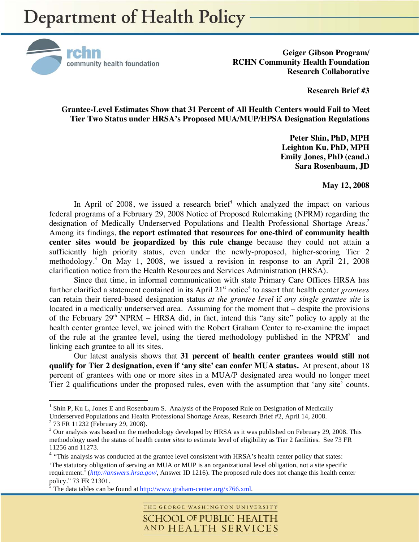

**Geiger Gibson Program/ RCHN Community Health Foundation Research Collaborative** 

**Research Brief #3** 

**Grantee-Level Estimates Show that 31 Percent of All Health Centers would Fail to Meet Tier Two Status under HRSA's Proposed MUA/MUP/HPSA Designation Regulations** 

> **Peter Shin, PhD, MPH Leighton Ku, PhD, MPH Emily Jones, PhD (cand.) Sara Rosenbaum, JD**

> > **May 12, 2008**

In April of 2008, we issued a research brief<sup>1</sup> which analyzed the impact on various federal programs of a February 29, 2008 Notice of Proposed Rulemaking (NPRM) regarding the designation of Medically Underserved Populations and Health Professional Shortage Areas.<sup>2</sup> Among its findings, **the report estimated that resources for one-third of community health center sites would be jeopardized by this rule change** because they could not attain a sufficiently high priority status, even under the newly-proposed, higher-scoring Tier 2 methodology.3 On May 1, 2008, we issued a revision in response to an April 21, 2008 clarification notice from the Health Resources and Services Administration (HRSA).

Since that time, in informal communication with state Primary Care Offices HRSA has further clarified a statement contained in its April 21<sup>st</sup> notice<sup>4</sup> to assert that health center *grantees* can retain their tiered-based designation status *at the grantee level* if *any single grantee site* is located in a medically underserved area. Assuming for the moment that – despite the provisions of the February  $29<sup>th</sup> NPRM - HRSA$  did, in fact, intend this "any site" policy to apply at the health center grantee level, we joined with the Robert Graham Center to re-examine the impact of the rule at the grantee level, using the tiered methodology published in the NPRM<sup>5</sup> and linking each grantee to all its sites.

Our latest analysis shows that **31 percent of health center grantees would still not qualify for Tier 2 designation, even if 'any site' can confer MUA status.** At present, about 18 percent of grantees with one or more sites in a MUA/P designated area would no longer meet Tier 2 qualifications under the proposed rules, even with the assumption that 'any site' counts.

 $\overline{a}$ 

THE GEORGE WASHINGTON UNIVERSITY **SCHOOL OF PUBLIC HEALTH** AND HEALTH SERVICES

<sup>&</sup>lt;sup>1</sup> Shin P, Ku L, Jones E and Rosenbaum S. Analysis of the Proposed Rule on Designation of Medically Underserved Populations and Health Professional Shortage Areas, Research Brief #2, April 14, 2008.

<sup>&</sup>lt;sup>2</sup> 73 FR 11232 (February 29, 2008).

 $3$  Our analysis was based on the methodology developed by HRSA as it was published on February 29, 2008. This methodology used the status of health center *sites* to estimate level of eligibility as Tier 2 facilities. See 73 FR 11256 and 11273.

<sup>&</sup>lt;sup>4</sup> "This analysis was conducted at the grantee level consistent with HRSA's health center policy that states: 'The statutory obligation of serving an MUA or MUP is an organizational level obligation, not a site specific requirement.' (*http://answers.hrsa.gov/*, Answer ID 1216). The proposed rule does not change this health center policy." 73 FR 21301.

The data tables can be found at  $\frac{http://www.graham-center.org/x766.xml}{http://www.graham-center.org/x766.xml}$ .